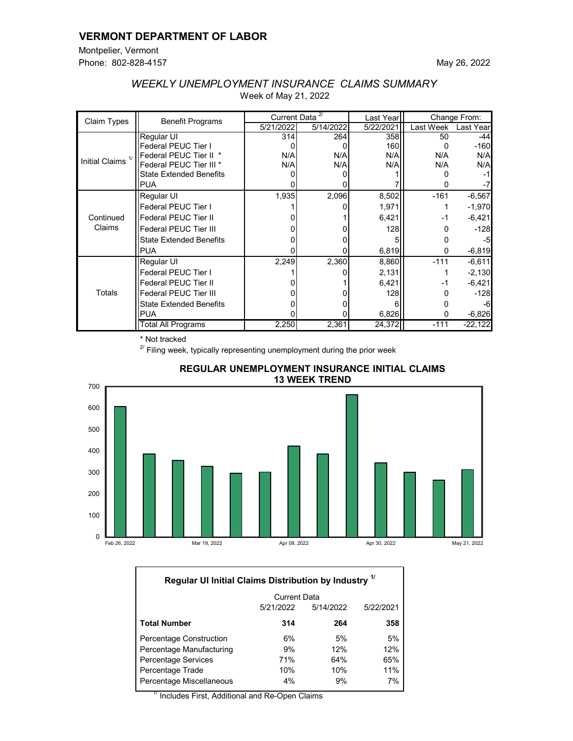### **VERMONT DEPARTMENT OF LABOR**

Montpelier, Vermont Phone: 802-828-4157

| Claim Types                  | <b>Benefit Programs</b>            | 2/<br>Current Data |           | Last Year | Change From: |           |
|------------------------------|------------------------------------|--------------------|-----------|-----------|--------------|-----------|
|                              |                                    | 5/21/2022          | 5/14/2022 | 5/22/2021 | Last Week    | Last Year |
| Initial Claims <sup>1/</sup> | Regular UI                         | 314                | 264       | 358       | 50           | -44       |
|                              | <b>Federal PEUC Tier I</b>         |                    |           | 160       |              | $-160$    |
|                              | Federal PEUC Tier II *             | N/A                | N/A       | N/A       | N/A          | N/A       |
|                              | Federal PEUC Tier III <sup>*</sup> | N/A                | N/A       | N/A       | N/A          | N/A       |
|                              | <b>State Extended Benefits</b>     |                    |           |           |              |           |
|                              | <b>PUA</b>                         |                    |           |           |              |           |
| Continued<br>Claims          | Regular UI                         | 1,935              | 2,096     | 8,502     | $-161$       | $-6,567$  |
|                              | Federal PEUC Tier I                |                    |           | 1,971     |              | $-1,970$  |
|                              | <b>Federal PEUC Tier II</b>        |                    |           | 6,421     | -1           | $-6,421$  |
|                              | <b>Federal PEUC Tier III</b>       |                    |           | 128       |              | $-128$    |
|                              | <b>State Extended Benefits</b>     |                    |           |           |              | -5        |
|                              | <b>IPUA</b>                        |                    |           | 6,819     | 0            | $-6,819$  |
| Totals                       | Regular UI                         | 2,249              | 2,360     | 8,860     | $-111$       | $-6,611$  |
|                              | <b>Federal PEUC Tier I</b>         |                    |           | 2,131     |              | $-2,130$  |
|                              | <b>Federal PEUC Tier II</b>        |                    |           | 6,421     | $-1$         | $-6,421$  |
|                              | <b>Federal PEUC Tier III</b>       |                    |           | 128       |              | $-128$    |
|                              | <b>State Extended Benefits</b>     |                    |           |           |              |           |
|                              | IPUA                               |                    |           | 6,826     | 0            | $-6,826$  |
|                              | Total All Programs                 | 2,250              | 2,361     | 24,372    | $-111$       | $-22,122$ |

# *WEEKLY UNEMPLOYMENT INSURANCE CLAIMS SUMMARY* Week of May 21, 2022

\* Not tracked

 $2^{7}$  Filing week, typically representing unemployment during the prior week



#### **REGULAR UNEMPLOYMENT INSURANCE INITIAL CLAIMS 13 WEEK TREND**

| Regular UI Initial Claims Distribution by Industry <sup>1/</sup> |                     |           |           |  |  |  |
|------------------------------------------------------------------|---------------------|-----------|-----------|--|--|--|
|                                                                  | <b>Current Data</b> |           |           |  |  |  |
|                                                                  | 5/21/2022           | 5/14/2022 | 5/22/2021 |  |  |  |
| <b>Total Number</b>                                              | 314                 | 264       | 358       |  |  |  |
| <b>Percentage Construction</b>                                   | 6%                  | 5%        | 5%        |  |  |  |
| Percentage Manufacturing                                         | 9%                  | 12%       | 12%       |  |  |  |
| <b>Percentage Services</b>                                       | 71%                 | 64%       | 65%       |  |  |  |
| Percentage Trade                                                 | 10%                 | 10%       | 11%       |  |  |  |
| Percentage Miscellaneous                                         | 4%                  | 9%        | 7%        |  |  |  |

 $'$  Includes First, Additional and Re-Open Claims